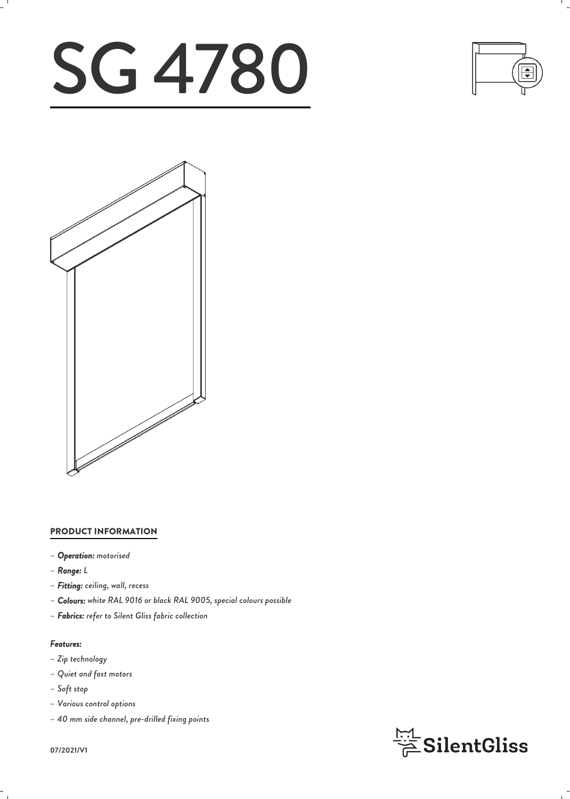# SG 4780





#### PRODUCT INFORMATION

- *– Operation: motorised*
- *– Range: L*
- *– Fitting: ceiling, wall, recess*
- *– Colours: white RAL 9016 or black RAL 9005, special colours possible*
- *– Fabrics: refer to Silent Gliss fabric collection*

#### *Features:*

- *– Zip technology*
- *– Quiet and fast motors*
- *– Soft stop*
- *– Various control options*
- *– 40 mm side channel, pre-drilled fixing points*

**07/2021/V1**

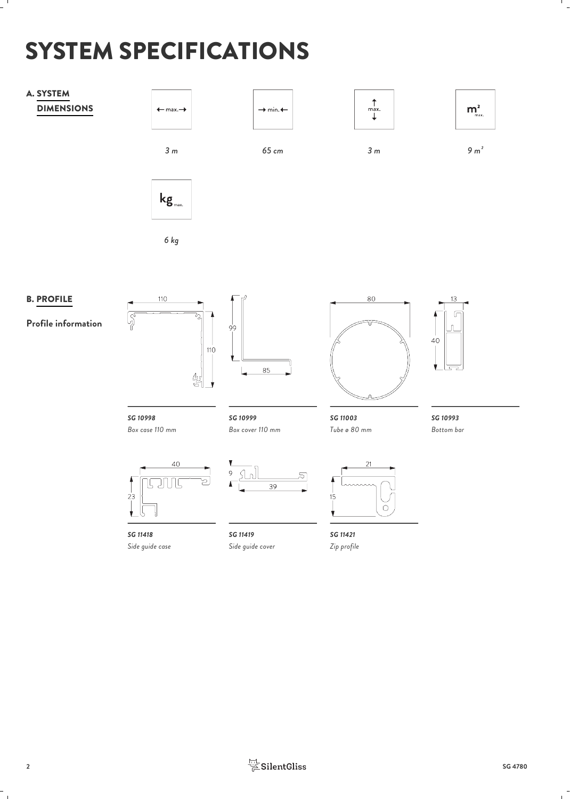## SYSTEM SPECIFICATIONS

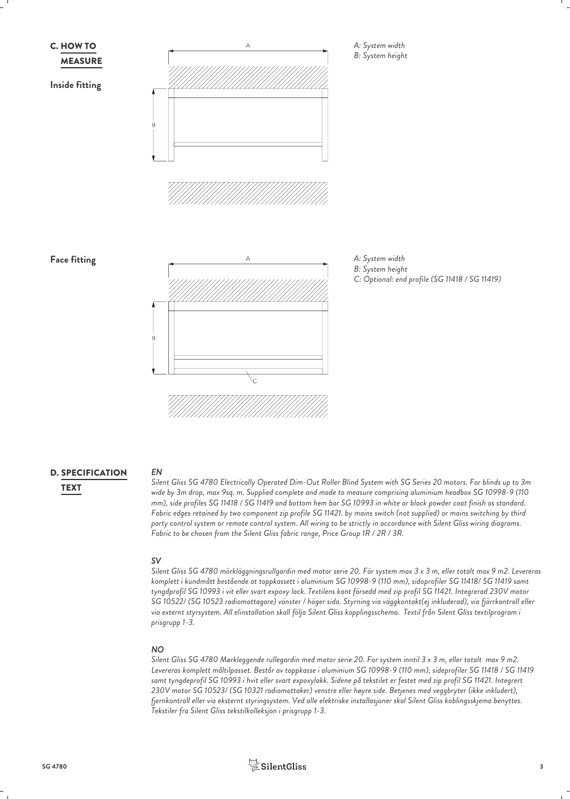

## D. SPECIFICATION EN

#### *EN*

*Silent Gliss SG 4780 Electrically Operated Dim-Out Roller Blind System with SG Series 20 motors. For blinds up to 3m wide by 3m drop, max 9sq. m. Supplied complete and made to measure comprising aluminium headbox SG 10998-9 (110* TEXT *mm), side profiles SG 11418 / SG 11419 and bottom hem bar SG 10993 in white or black powder coat finish as standard. Fabric edges retained by two component zip profile SG 11421. by mains switch (not supplied) or mains switching by third party control system or remote control system. All wiring to be strictly in accordance with Silent Gliss wiring diagrams. Fabric to be chosen from the Silent Gliss fabric range, Price Group 1R / 2R / 3R.*

*SV Silent Gliss SG 4780 mörkläggningsrullgardin med motor serie 20. För system max 3 x 3 m, eller totalt max 9 m2. Levereras komplett i kundmått bestående at toppkassett i aluminium SG 10998-9 (110 mm), sidoprofiler SG 11418/ SG 11419 samt tyngdprofil SG 10993 i vit eller svart expoxy lack. Textilens kant försedd med zip profil SG 11421. Integrerad 230V motor SG 10522/ (SG 10523 radiomottagare) vänster / höger sida. Styrning via väggkontakt(ej inkluderad), via fjärrkontroll eller via externt styrsystem. All elinstallation skall följa Silent Gliss kopplingsschema. Textil från Silent Gliss textilprogram i prisgrupp 1-3.*

#### *NO*

*Silent Gliss SG 4780 Mørkleggende rullegardin med motor serie 20. For system inntil 3 x 3 m, eller totalt max 9 m2. Levereras komplett måltilpasset. Består av toppkasse i aluminium SG 10998-9 (110 mm), sideprofiler SG 11418 / SG 11419 samt tyngdeprofil SG 10993 i hvit eller svart expoxylakk. Sidene på tekstilet er festet med zip profil SG 11421. Integrert 230V motor SG 10523/ (SG 10321 radiomottaker) venstre eller høyre side. Betjenes med veggbryter (ikke inkludert), fjernkontroll eller via eksternt styringsystem. Ved alle elektriske installasjoner skal Silent Gliss koblingsskjema benyttes. Tekstiler fra Silent Gliss tekstilkolleksjon i prisgrupp 1-3.*

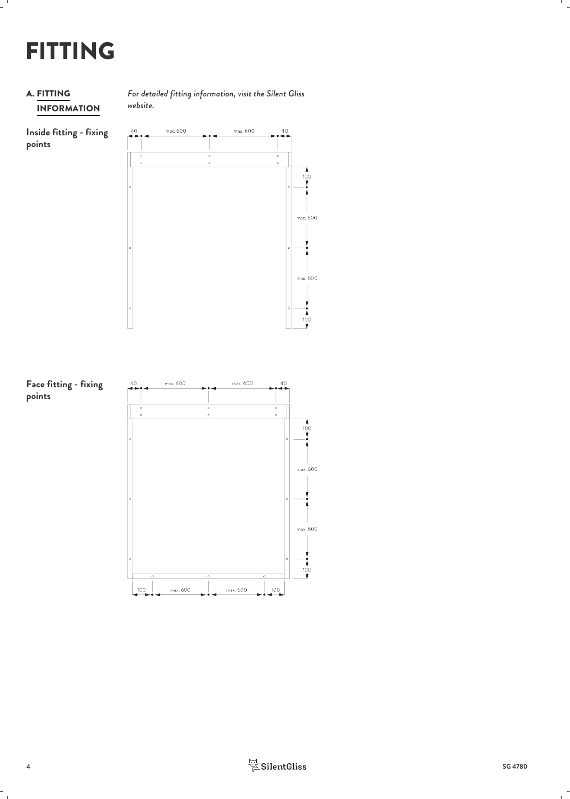## FITTING

#### INFORMATION **A. FITTING**

*For detailed fitting information, visit the Silent Gliss* FITTING *website.*

 $\frac{40}{1}$ 

 $\frac{1}{100}$  $\blacktriangle$ 

 $max.600$ 

V

 $max.600$ 

 $\frac{1}{00}$ Ý

 $\overline{\phantom{0}}$  $\ddot{\phantom{0}}$ 

Inside fitting - fixing  $\underset{2}{40}$  max.600  $\longrightarrow$  max.600 **points**  $\overline{a}$  $\overline{\phantom{0}}$ **Face fitting - fixing**  $\underset{40}{40}$   $\underset{42}{\text{max.600}}$ **points**  $\overline{\phantom{0}}$ 

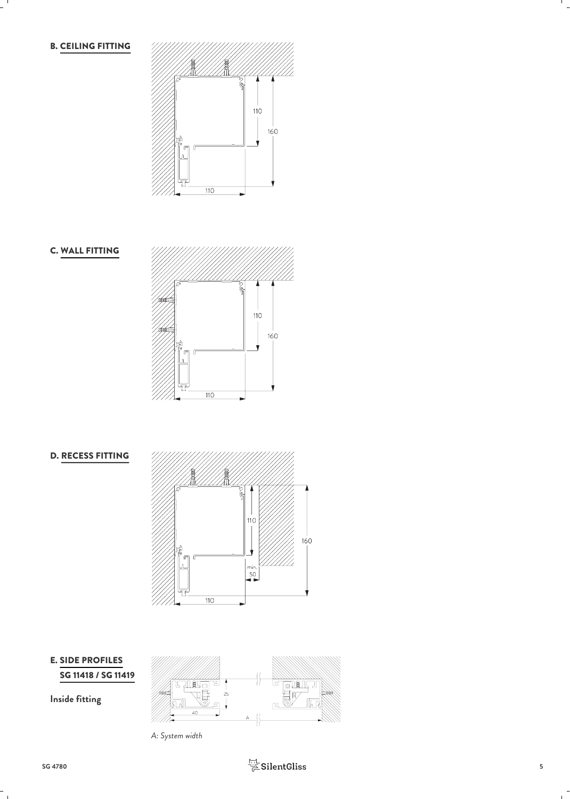B. CEILING FITTING



#### C. WALL FITTING



D. RECESS FITTING





*A: System width*

### $\frac{\sum_{i=1}^{N}1}{2}$ SilentGliss 5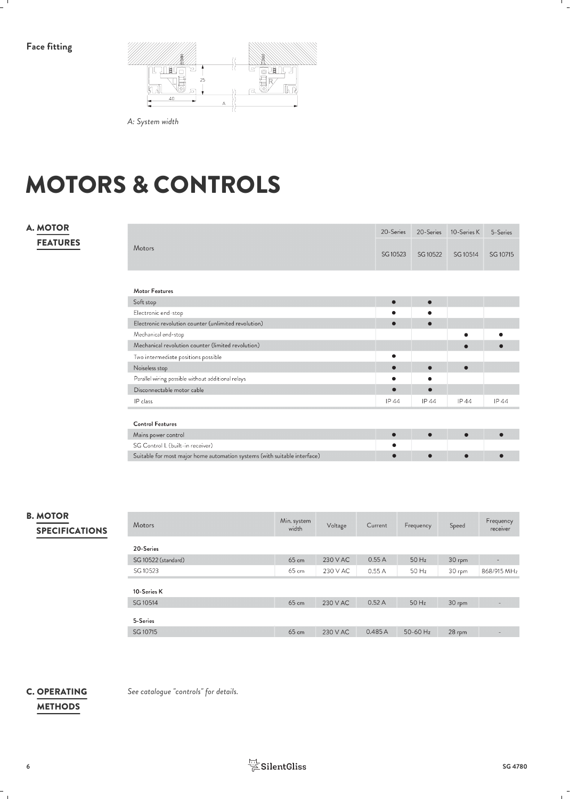#### **Face fitting**



*A: System width*

## MOTORS & CONTROLS

## FEATURES

| <b>A. MOTOR</b> | <b>Motors</b>                                                             | 20-Series |             | 20-Series 10-Series K | 5-Series    |
|-----------------|---------------------------------------------------------------------------|-----------|-------------|-----------------------|-------------|
| <b>FEATURES</b> |                                                                           | SG 10523  | SG 10522    | SG 10514              | SG 10715    |
|                 | <b>Motor Features</b>                                                     |           |             |                       |             |
|                 | Soft stop                                                                 | $\bullet$ | $\bullet$   |                       |             |
|                 | Electronic end-stop                                                       | $\bullet$ | $\bullet$   |                       |             |
|                 | Electronic revolution counter (unlimited revolution)                      | $\bullet$ | $\bullet$   |                       |             |
|                 | Mechanical end-stop                                                       |           |             | $\bullet$             |             |
|                 | Mechanical revolution counter (limited revolution)                        |           |             | $\bullet$             |             |
|                 | Two intermediate positions possible                                       | $\bullet$ |             |                       |             |
|                 | Noiseless stop                                                            | $\bullet$ | $\bullet$   | $\bullet$             |             |
|                 | Parallel wiring possible without additional relays                        | $\bullet$ | $\bullet$   |                       |             |
|                 | Disconnectable motor cable                                                | $\bullet$ | $\bullet$   |                       |             |
|                 | IP class                                                                  | IP 44     | <b>IP44</b> | <b>IP44</b>           | <b>IP44</b> |
|                 | <b>Control Features</b>                                                   |           |             |                       |             |
|                 | Mains power control                                                       | $\bullet$ | $\bullet$   | $\bullet$             |             |
|                 | SG Control L (built-in receiver)                                          | ٠         |             |                       |             |
|                 | Suitable for most major home automation systems (with suitable interface) | $\bullet$ | $\bullet$   | $\bullet$             |             |

#### **B. MOTOR B. MOTOR** SPECIFICATIONS

| Motors              | win. system<br>width | Voltage  | Current | Frequency  | Speed  | <b>Frequency</b><br>receiver |
|---------------------|----------------------|----------|---------|------------|--------|------------------------------|
| 20-Series           |                      |          |         |            |        |                              |
| SG 10522 (standard) | 65 cm                | 230 V AC | 0.55A   | $50$ Hz    | 30 rpm |                              |
| SG 10523            | 65 cm                | 230 V AC | 0.55A   | 50 Hz      | 30 rpm | 868/915 MHz                  |
| 10-Series K         |                      |          |         |            |        |                              |
| SG 10514            | 65 cm                | 230 V AC | 0.52A   | $50$ Hz    | 30 rpm |                              |
| 5-Series            |                      |          |         |            |        |                              |
| SG 10715            | 65 cm                | 230 V AC | 0.485A  | $50-60$ Hz | 28 rpm |                              |

#### **METHODS C. OPERATING**

*See catalogue "controls" for details.* OPERATING

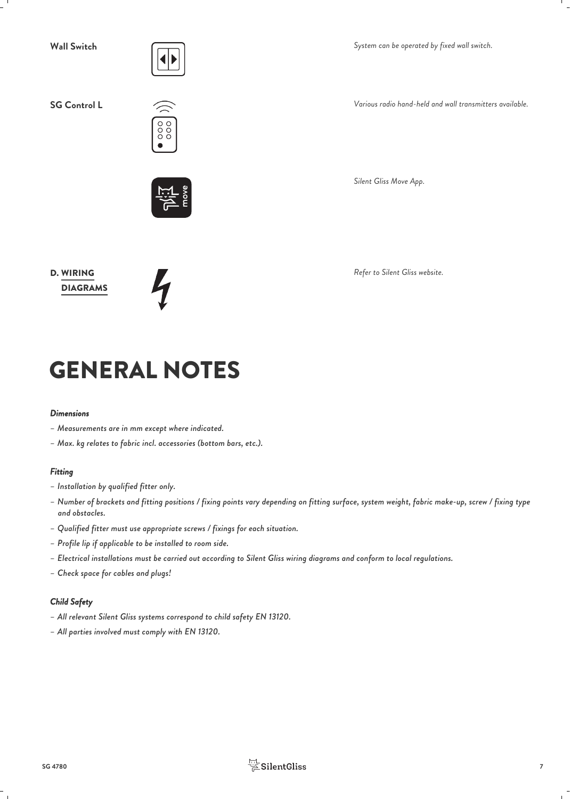





**Wall Switch** *System can be operated by fixed wall switch.*

**SG Control L** *Various radio hand-held and wall transmitters available.*

*Silent Gliss Move App.*

 $Refer to Silent Gliss website.$ 

DIAGRAMS **D. WIRING** 



## GENERAL NOTES

#### *Dimensions*

- *– Measurements are in mm except where indicated.*
- *– Max. kg relates to fabric incl. accessories (bottom bars, etc.).*

#### *Fitting*

- *– Installation by qualified fitter only.*
- *– Number of brackets and fitting positions / fixing points vary depending on fitting surface, system weight, fabric make-up, screw / fixing type and obstacles.*
- *– Qualified fitter must use appropriate screws / fixings for each situation.*
- *– Profile lip if applicable to be installed to room side.*
- *– Electrical installations must be carried out according to Silent Gliss wiring diagrams and conform to local regulations.*
- *– Check space for cables and plugs!*

#### *Child Safety*

- *– All relevant Silent Gliss systems correspond to child safety EN 13120.*
- *– All parties involved must comply with EN 13120.*

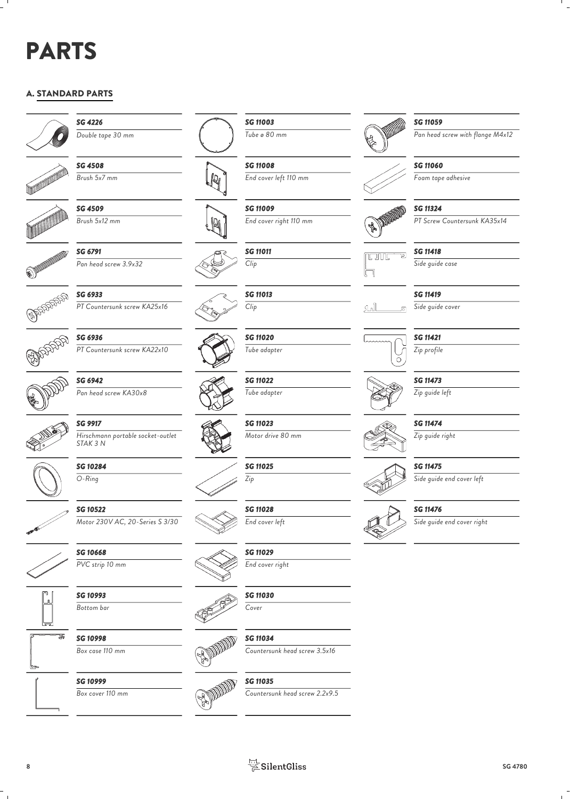## PARTS

#### A. STANDARD PARTS



*SG 4226 Double tape 30 mm*

*SG 4508*

*SG 4509*





*SG 6791*



ED DES

*SG 6933 PT Countersunk screw KA25x16*



*SG 6936 PT Countersunk screw KA22x10*

*Pan head screw KA30x8*



*SG 9917 Hirschmann portable socket-outlet STAK 3 N*



*SG 10284 O-Ring*

> *SG 10668 PVC strip 10 mm*

*SG 6942*

*SG 10522 Motor 230V AC, 20-Series S 3/30*





.<br>Эб

*SG 10998 Box case 110 mm*





*Pan head screw 3.9x32 Clip SG 11011 Clip*

*SG 11013*

*SG 11022 Tube adapter*

*SG 11003*

*SG 11008*

*SG 11009*









*Zip*



*SG 11028 End cover left*



*SG 11029 End cover right*

*SG 11030 Cover*



*Countersunk head screw 3.5x16*



*Box cover 110 mm Countersunk head screw 2.2x9.5 SG 11035*



#### *SG 11059*

*Tube ø 80 mm Pan head screw with flange M4x12*

#### *SG 11060*



*Foam tape adhesive*

#### *SG 11324*

*SG 11418 Side guide case*

*Brush 5x12 mm End cover right 110 mm PT Screw Countersunk KA35x14*

> <u>TIME</u> ज J

*Clip* <u>S</u>Lnll S)

*SG 11419 Side guide cover*

*SG 11421 Zip profile*  $\bigcap$ 

*SG 11473*

*Zip guide left*

*SG 11474*

*Zip guide right*



*SG 11475*

*Side guide end cover left*

*SG 11476*

*Side guide end cover right*

**8 SG 4780**



*SG 11023 Motor drive 80 mm*

*SG 11025*



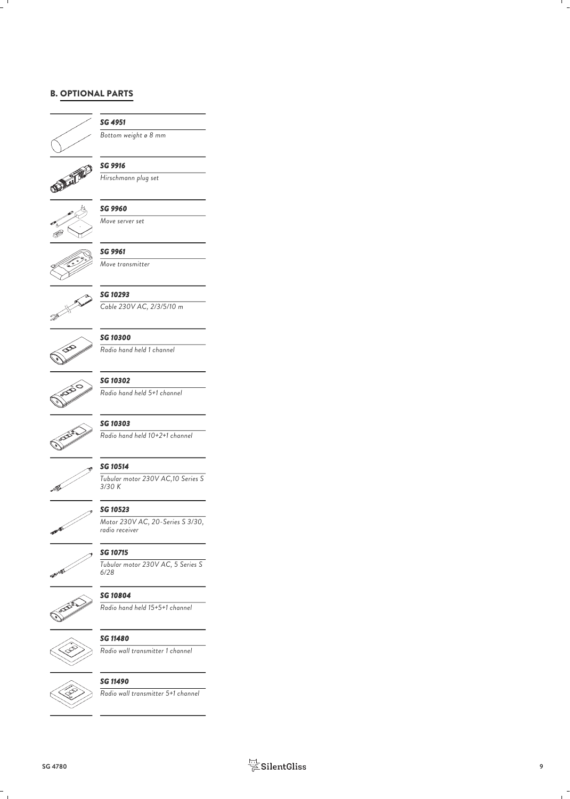#### B. OPTIONAL PARTS



#### *SG 4951*

*Bottom weight ø 8 mm*



#### *SG 9916 Hirschmann plug set*





*SG 9960*



#### *SG 9961 Move transmitter*



#### *SG 10293 Cable 230V AC, 2/3/5/10 m*

*SG 10300 Radio hand held 1 channel*



#### *SG 10302*

*Radio hand held 5+1 channel*



#### *SG 10303*

*Radio hand held 10+2+1 channel*



#### *SG 10514*

*Tubular motor 230V AC,10 Series S 3/30 K*



#### *SG 10523 Motor 230V AC, 20-Series S 3/30,*

*SG 10715*

*radio receiver*



#### *Tubular motor 230V AC, 5 Series S 6/28*

*SG 10804 Radio hand held 15+5+1 channel*



#### *SG 11480*

*Radio wall transmitter 1 channel*



#### *SG 11490*

*Radio wall transmitter 5+1 channel*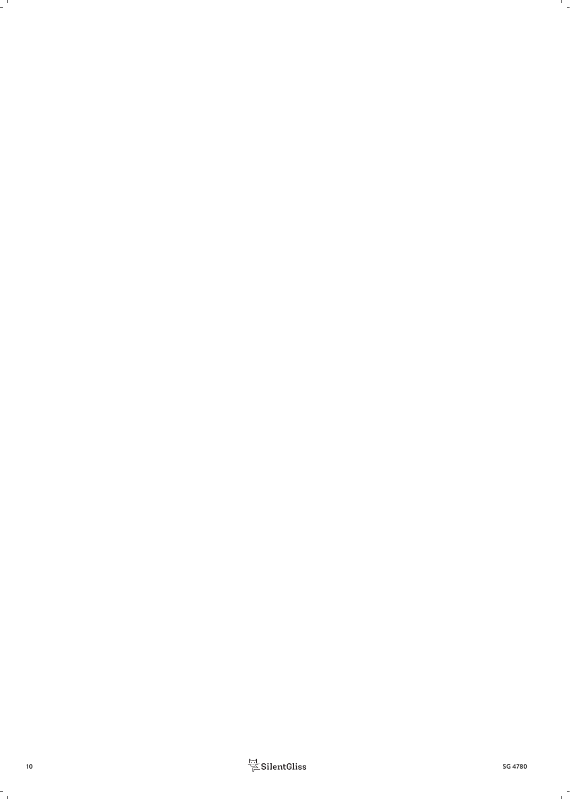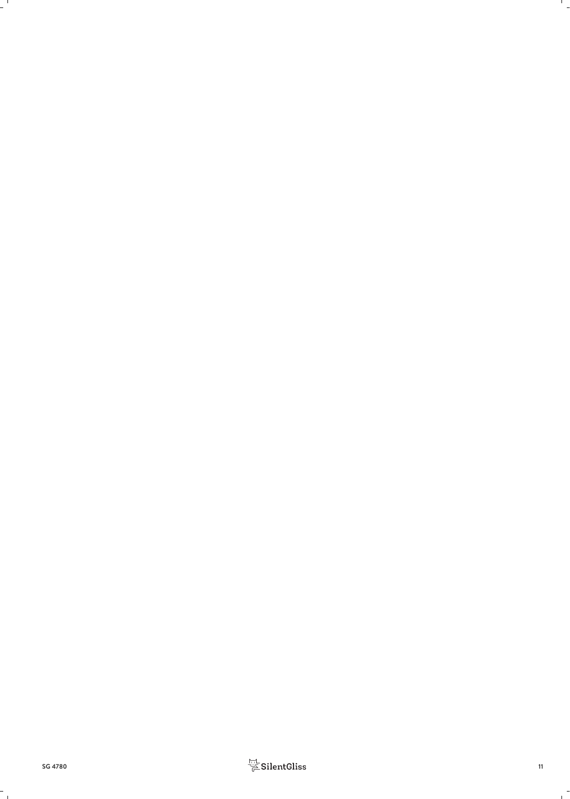